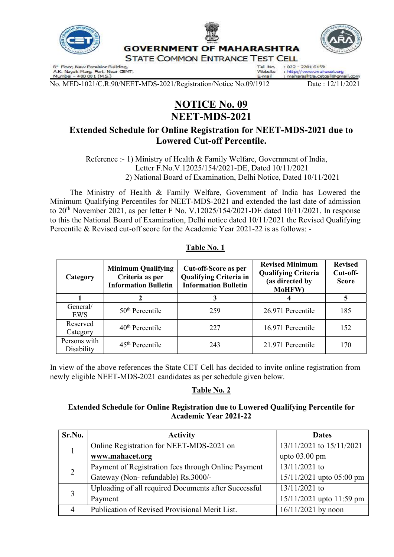

8<sup>#</sup> Floor, New Excelsior Building,<br>A.K. Nayak Marg, Fort, Near C5MT,<br>Mumbai – 400 001 (M.S.)

: h<mark>tt</mark>p://www.mahacet.org<br>: maharashtra.cetcell@gmail Website E-mail

No. MED-1021/C.R.90/NEET-MDS-2021/Registration/Notice No.09/1912 Date : 12/11/2021

# NOTICE No. 09 NEET-MDS-2021

## Extended Schedule for Online Registration for NEET-MDS-2021 due to Lowered Cut-off Percentile.

 Reference :- 1) Ministry of Health & Family Welfare, Government of India, Letter F.No.V.12025/154/2021-DE, Dated 10/11/2021 2) National Board of Examination, Delhi Notice, Dated 10/11/2021

 The Ministry of Health & Family Welfare, Government of India has Lowered the Minimum Qualifying Percentiles for NEET-MDS-2021 and extended the last date of admission to 20<sup>th</sup> November 2021, as per letter F No. V.12025/154/2021-DE dated 10/11/2021. In response to this the National Board of Examination, Delhi notice dated 10/11/2021 the Revised Qualifying Percentile & Revised cut-off score for the Academic Year 2021-22 is as follows: -

| Category                   | <b>Minimum Qualifying</b><br>Criteria as per<br><b>Information Bulletin</b> | <b>Cut-off-Score as per</b><br><b>Qualifying Criteria in</b><br><b>Information Bulletin</b> | <b>Revised Minimum</b><br><b>Qualifying Criteria</b><br>(as directed by<br>MoHFW) | <b>Revised</b><br>Cut-off-<br><b>Score</b> |
|----------------------------|-----------------------------------------------------------------------------|---------------------------------------------------------------------------------------------|-----------------------------------------------------------------------------------|--------------------------------------------|
|                            |                                                                             |                                                                                             |                                                                                   | 5                                          |
| General/<br>EWS            | $50th$ Percentile                                                           | 259                                                                                         | 26.971 Percentile                                                                 | 185                                        |
| Reserved<br>Category       | $40th$ Percentile                                                           | 227                                                                                         | 16.971 Percentile                                                                 | 152                                        |
| Persons with<br>Disability | $45th$ Percentile                                                           | 243                                                                                         | 21.971 Percentile                                                                 | 170                                        |

Table No. 1

In view of the above references the State CET Cell has decided to invite online registration from newly eligible NEET-MDS-2021 candidates as per schedule given below.

#### Table No. 2

#### Extended Schedule for Online Registration due to Lowered Qualifying Percentile for Academic Year 2021-22

| Sr.No. | <b>Activity</b>                                      | <b>Dates</b>             |
|--------|------------------------------------------------------|--------------------------|
|        | Online Registration for NEET-MDS-2021 on             | 13/11/2021 to 15/11/2021 |
|        | www.mahacet.org                                      | upto $03.00$ pm          |
| 2      | Payment of Registration fees through Online Payment  | $13/11/2021$ to          |
|        | Gateway (Non-refundable) Rs.3000/-                   | 15/11/2021 upto 05:00 pm |
|        | Uploading of all required Documents after Successful | $13/11/2021$ to          |
|        | Payment                                              | 15/11/2021 upto 11:59 pm |
| 4      | Publication of Revised Provisional Merit List.       | $16/11/2021$ by noon     |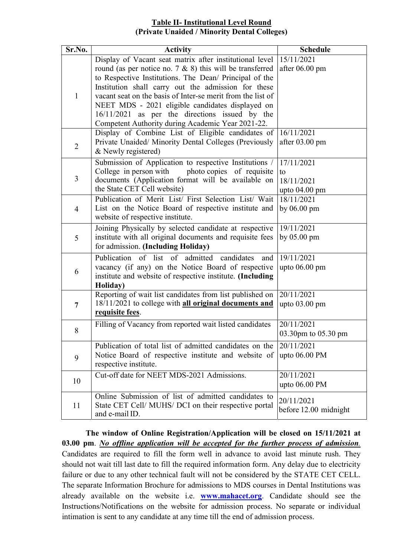#### Table II- Institutional Level Round (Private Unaided / Minority Dental Colleges)

| Sr.No.         | Activity                                                                                                                | <b>Schedule</b>                |
|----------------|-------------------------------------------------------------------------------------------------------------------------|--------------------------------|
|                | Display of Vacant seat matrix after institutional level<br>round (as per notice no. $7 \& 8$ ) this will be transferred | 15/11/2021<br>after $06.00$ pm |
|                | to Respective Institutions. The Dean/ Principal of the                                                                  |                                |
|                | Institution shall carry out the admission for these                                                                     |                                |
| $\mathbf{1}$   | vacant seat on the basis of Inter-se merit from the list of                                                             |                                |
|                | NEET MDS - 2021 eligible candidates displayed on                                                                        |                                |
|                | $16/11/2021$ as per the directions issued by the                                                                        |                                |
|                | Competent Authority during Academic Year 2021-22.<br>Display of Combine List of Eligible candidates of                  | 16/11/2021                     |
|                | Private Unaided/ Minority Dental Colleges (Previously                                                                   | after 03.00 pm                 |
| $\overline{2}$ | & Newly registered)                                                                                                     |                                |
|                | Submission of Application to respective Institutions /                                                                  | 17/11/2021                     |
|                | College in person with<br>photo copies of requisite                                                                     | to                             |
| 3              | documents (Application format will be available on                                                                      | 18/11/2021                     |
|                | the State CET Cell website)<br>Publication of Merit List/ First Selection List/ Wait                                    | upto $04.00$ pm<br>18/11/2021  |
|                | List on the Notice Board of respective institute and                                                                    | by 06.00 pm                    |
| $\overline{4}$ | website of respective institute.                                                                                        |                                |
|                | Joining Physically by selected candidate at respective                                                                  | 19/11/2021                     |
| 5              | institute with all original documents and requisite fees                                                                | by $05.00 \text{ pm}$          |
|                | for admission. (Including Holiday)                                                                                      |                                |
|                | Publication<br>of list of admitted candidates<br>and                                                                    | 19/11/2021                     |
| 6              | vacancy (if any) on the Notice Board of respective                                                                      | upto 06.00 pm                  |
|                | institute and website of respective institute. (Including<br>Holiday)                                                   |                                |
|                | Reporting of wait list candidates from list published on                                                                | 20/11/2021                     |
| 7              | 18/11/2021 to college with all original documents and                                                                   | upto $03.00$ pm                |
|                | requisite fees.                                                                                                         |                                |
| 8              | Filling of Vacancy from reported wait listed candidates                                                                 | 20/11/2021                     |
|                |                                                                                                                         | 03.30pm to 05.30 pm            |
|                | Publication of total list of admitted candidates on the                                                                 | 20/11/2021                     |
| 9              | Notice Board of respective institute and website of<br>respective institute.                                            | upto 06.00 PM                  |
|                | Cut-off date for NEET MDS-2021 Admissions.                                                                              | 20/11/2021                     |
| 10             |                                                                                                                         | upto $06.00$ PM                |
|                | Online Submission of list of admitted candidates to                                                                     |                                |
| 11             | State CET Cell/ MUHS/ DCI on their respective portal                                                                    | 20/11/2021                     |
|                | and e-mail ID.                                                                                                          | before 12.00 midnight          |

The window of Online Registration/Application will be closed on 15/11/2021 at 03.00 pm. No offline application will be accepted for the further process of admission. Candidates are required to fill the form well in advance to avoid last minute rush. They should not wait till last date to fill the required information form. Any delay due to electricity failure or due to any other technical fault will not be considered by the STATE CET CELL. The separate Information Brochure for admissions to MDS courses in Dental Institutions was already available on the website i.e. www.mahacet.org. Candidate should see the Instructions/Notifications on the website for admission process. No separate or individual intimation is sent to any candidate at any time till the end of admission process.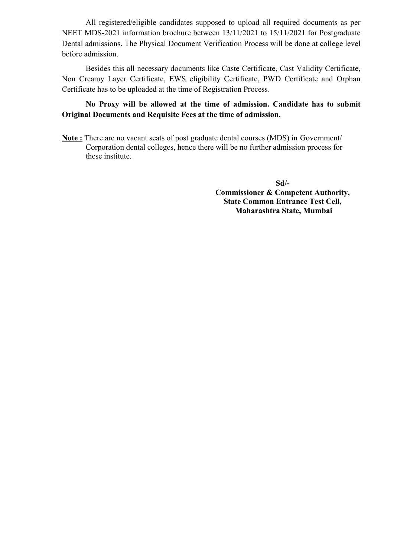All registered/eligible candidates supposed to upload all required documents as per NEET MDS-2021 information brochure between 13/11/2021 to 15/11/2021 for Postgraduate Dental admissions. The Physical Document Verification Process will be done at college level before admission.

 Besides this all necessary documents like Caste Certificate, Cast Validity Certificate, Non Creamy Layer Certificate, EWS eligibility Certificate, PWD Certificate and Orphan Certificate has to be uploaded at the time of Registration Process.

#### No Proxy will be allowed at the time of admission. Candidate has to submit Original Documents and Requisite Fees at the time of admission.

Note : There are no vacant seats of post graduate dental courses (MDS) in Government/ Corporation dental colleges, hence there will be no further admission process for these institute.

> Sd/- Commissioner & Competent Authority, State Common Entrance Test Cell, Maharashtra State, Mumbai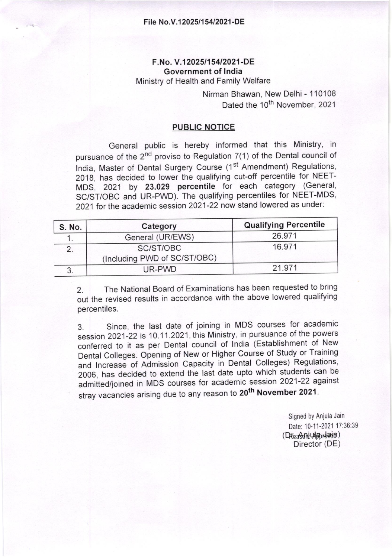## F.No. V.12025/154/2021-DE Government of lndia

Ministry of Health and Family Welfare

Nirman Bhawan, New Delhi - 1 10108 Dated the 10<sup>th</sup> November, 2021

#### PUBLIC NOTICE

General public is hereby informed that this Ministry, in pursuance of the  $2^{nd}$  proviso to Regulation  $7(1)$  of the Dental council of India, Master of Dental Surgery Course (1st Amendment) Regulations, 2018, has decided to lower the qualifying cut-off percentile for NEET-MDS, 2021 by 23.029 percentile for each category (General, SC/ST/OBC and UR-PWD). The qualifying percentiles for NEET-MDS, 2021 for the academic session 2021-22 now stand lowered as under:

| S. No. | Category                                  | <b>Qualifying Percentile</b> |  |
|--------|-------------------------------------------|------------------------------|--|
|        | General (UR/EWS)                          | 26.971                       |  |
|        | SC/ST/OBC<br>(Including PWD of SC/ST/OBC) | 16.971                       |  |
|        | UR-PWD                                    | 21.971                       |  |

2. The National Board of Examinations has been requested to bring out the revised results in accordance with the above lowered qualifying percentiles.

3. Since, the last date of joining in MDS courses for academic session 2021-22 is 10.11.2021, this Ministry, in pursuance of the powers conferred to it as per Dental council of India (Establishment of New Dental Colleges. Opening of New or Higher Course of Study or Training and Increase of Admission Capacity in Dental Colleges) Regulations, 2006, has decided to extend the last date upto which students can be stamme by production of the total meason to 20<sup>th</sup> November 2021. admitted/joined in MDS courses for academic session 2021-22 against

> Signed by Anjula Jain Date: 10-11-2021 17:36:39 (Rea\$clidmrlain) Director (DE)